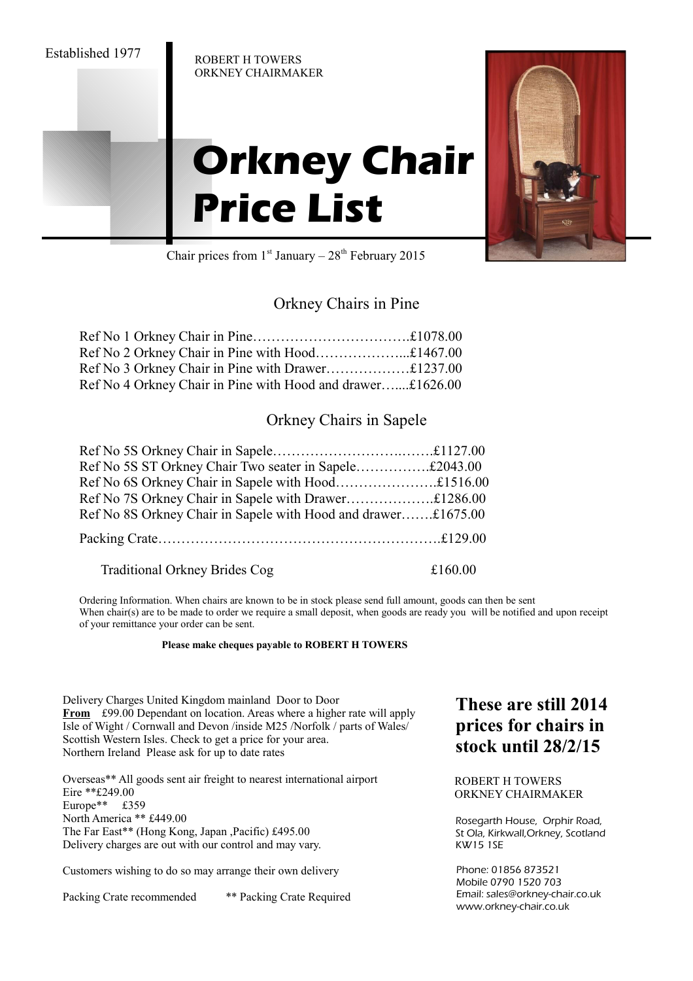ROBERT H TOWERS ORKNEY CHAIRMAKER

# **Orkney Chair Price List**



Chair prices from  $1<sup>st</sup>$  January –  $28<sup>th</sup>$  February 2015

### Orkney Chairs in Pine

| Ref No 4 Orkney Chair in Pine with Hood and drawer£1626.00 |  |
|------------------------------------------------------------|--|

#### Orkney Chairs in Sapele

| Ref No 5S ST Orkney Chair Two seater in Sapele£2043.00        |  |
|---------------------------------------------------------------|--|
|                                                               |  |
|                                                               |  |
| Ref No 8S Orkney Chair in Sapele with Hood and drawer£1675.00 |  |
|                                                               |  |

Traditional Orkney Brides Cog  $£160.00$ 

Ordering Information. When chairs are known to be in stock please send full amount, goods can then be sent When chair(s) are to be made to order we require a small deposit, when goods are ready you will be notified and upon receipt of your remittance your order can be sent.

#### **Please make cheques payable to ROBERT H TOWERS**

Delivery Charges United Kingdom mainland Door to Door **From** £99.00 Dependant on location. Areas where a higher rate will apply Isle of Wight / Cornwall and Devon /inside M25 /Norfolk / parts of Wales/ Scottish Western Isles. Check to get a price for your area. Northern Ireland Please ask for up to date rates

Overseas\*\* All goods sent air freight to nearest international airport Eire \*\*£249.00 Europe\*\* £359 North America \*\* £449.00 The Far East\*\* (Hong Kong, Japan ,Pacific) £495.00 Delivery charges are out with our control and may vary.

Customers wishing to do so may arrange their own delivery

Packing Crate recommended \*\* Packing Crate Required

## **These are still 2014 prices for chairs in stock until 28/2/15**

ROBERT H TOWERS ORKNEY CHAIRMAKER

Rosegarth House, Orphir Road, St Ola, Kirkwall,Orkney, Scotland KW15 1SE

Phone: 01856 873521 Mobile 0790 1520 703 Email: sales@orkney-chair.co.uk www.orkney-chair.co.uk